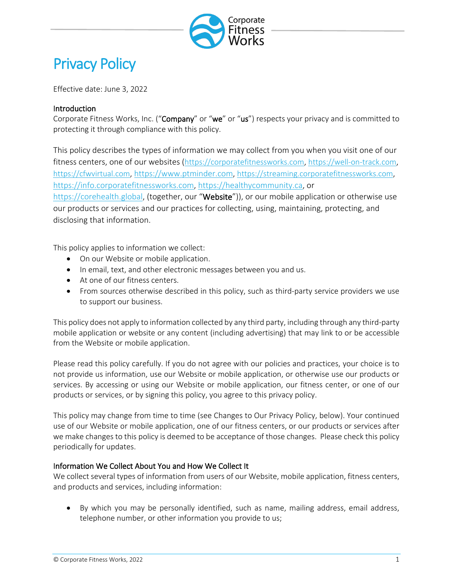

# Privacy Policy

Effective date: June 3, 2022

## Introduction

Corporate Fitness Works, Inc. ("Company" or "we" or "us") respects your privacy and is committed to protecting it through compliance with this policy.

This policy describes the types of information we may collect from you when you visit one of our fitness centers, one of our websites [\(https://corporatefitnessworks.com,](https://corporatefitnessworks.cm/) [https://well-on-track.com,](https://well-on-track.com/) [https://cfwvirtual.com,](https://cfwvirtual.com/) [https://www.ptminder.com,](https://www.ptminder.com/) [https://streaming.corporatefitnessworks.com,](https://streaming.corporatefitnessworks.com/) [https://info.corporatefitnessworks.com,](https://info.corporatefitnessworks.com/) [https://healthycommunity.ca,](https://healthycommunity.ca/) or [https://corehealth.global,](https://corehealth.global/) (together, our "Website")), or our mobile application or otherwise use our products or services and our practices for collecting, using, maintaining, protecting, and disclosing that information.

This policy applies to information we collect:

- On our Website or mobile application.
- In email, text, and other electronic messages between you and us.
- At one of our fitness centers.
- From sources otherwise described in this policy, such as third-party service providers we use to support our business.

This policy does not apply to information collected by any third party, including through any third-party mobile application or website or any content (including advertising) that may link to or be accessible from the Website or mobile application.

Please read this policy carefully. If you do not agree with our policies and practices, your choice is to not provide us information, use our Website or mobile application, or otherwise use our products or services. By accessing or using our Website or mobile application, our fitness center, or one of our products or services, or by signing this policy, you agree to this privacy policy.

This policy may change from time to time (see Changes to Our Privacy Policy, below). Your continued use of our Website or mobile application, one of our fitness centers, or our products or services after we make changes to this policy is deemed to be acceptance of those changes. Please check this policy periodically for updates.

#### Information We Collect About You and How We Collect It

We collect several types of information from users of our Website, mobile application, fitness centers, and products and services, including information:

• By which you may be personally identified, such as name, mailing address, email address, telephone number, or other information you provide to us;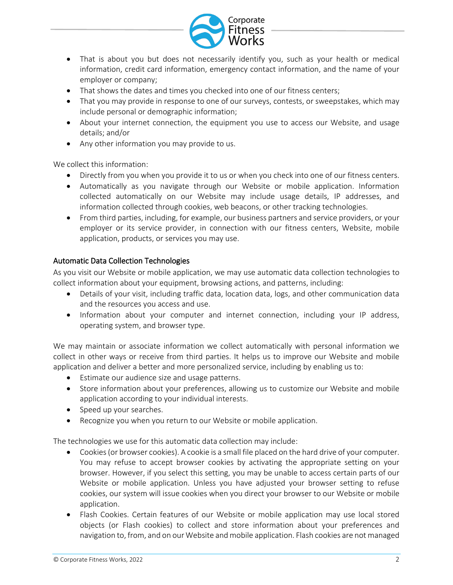

- That is about you but does not necessarily identify you, such as your health or medical information, credit card information, emergency contact information, and the name of your employer or company;
- That shows the dates and times you checked into one of our fitness centers;
- That you may provide in response to one of our surveys, contests, or sweepstakes, which may include personal or demographic information;
- About your internet connection, the equipment you use to access our Website, and usage details; and/or
- Any other information you may provide to us.

We collect this information:

- Directly from you when you provide it to us or when you check into one of our fitness centers.
- Automatically as you navigate through our Website or mobile application. Information collected automatically on our Website may include usage details, IP addresses, and information collected through cookies, web beacons, or other tracking technologies.
- From third parties, including, for example, our business partners and service providers, or your employer or its service provider, in connection with our fitness centers, Website, mobile application, products, or services you may use.

## Automatic Data Collection Technologies

As you visit our Website or mobile application, we may use automatic data collection technologies to collect information about your equipment, browsing actions, and patterns, including:

- Details of your visit, including traffic data, location data, logs, and other communication data and the resources you access and use.
- Information about your computer and internet connection, including your IP address, operating system, and browser type.

We may maintain or associate information we collect automatically with personal information we collect in other ways or receive from third parties. It helps us to improve our Website and mobile application and deliver a better and more personalized service, including by enabling us to:

- Estimate our audience size and usage patterns.
- Store information about your preferences, allowing us to customize our Website and mobile application according to your individual interests.
- Speed up your searches.
- Recognize you when you return to our Website or mobile application.

The technologies we use for this automatic data collection may include:

- Cookies (or browser cookies). A cookie is a small file placed on the hard drive of your computer. You may refuse to accept browser cookies by activating the appropriate setting on your browser. However, if you select this setting, you may be unable to access certain parts of our Website or mobile application. Unless you have adjusted your browser setting to refuse cookies, our system will issue cookies when you direct your browser to our Website or mobile application.
- Flash Cookies. Certain features of our Website or mobile application may use local stored objects (or Flash cookies) to collect and store information about your preferences and navigation to, from, and on our Website and mobile application. Flash cookies are not managed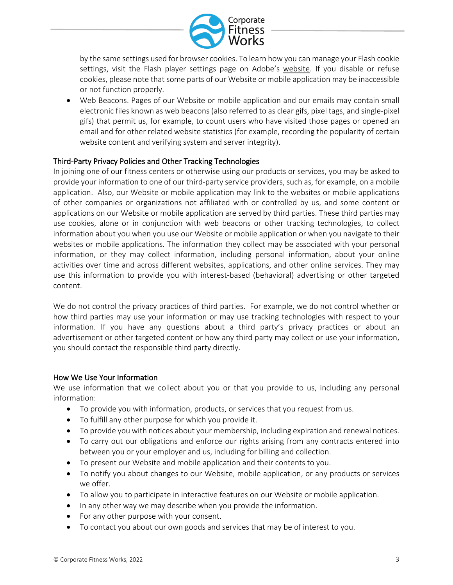

by the same settings used for browser cookies. To learn how you can manage your Flash cookie settings, visit the Flash player settings page on Adobe's website. If you disable or refuse cookies, please note that some parts of our Website or mobile application may be inaccessible or not function properly.

• Web Beacons. Pages of our Website or mobile application and our emails may contain small electronic files known as web beacons (also referred to as clear gifs, pixel tags, and single-pixel gifs) that permit us, for example, to count users who have visited those pages or opened an email and for other related website statistics (for example, recording the popularity of certain website content and verifying system and server integrity).

## Third-Party Privacy Policies and Other Tracking Technologies

In joining one of our fitness centers or otherwise using our products or services, you may be asked to provide your information to one of our third-party service providers, such as, for example, on a mobile application. Also, our Website or mobile application may link to the websites or mobile applications of other companies or organizations not affiliated with or controlled by us, and some content or applications on our Website or mobile application are served by third parties. These third parties may use cookies, alone or in conjunction with web beacons or other tracking technologies, to collect information about you when you use our Website or mobile application or when you navigate to their websites or mobile applications. The information they collect may be associated with your personal information, or they may collect information, including personal information, about your online activities over time and across different websites, applications, and other online services. They may use this information to provide you with interest-based (behavioral) advertising or other targeted content.

We do not control the privacy practices of third parties. For example, we do not control whether or how third parties may use your information or may use tracking technologies with respect to your information. If you have any questions about a third party's privacy practices or about an advertisement or other targeted content or how any third party may collect or use your information, you should contact the responsible third party directly.

#### How We Use Your Information

We use information that we collect about you or that you provide to us, including any personal information:

- To provide you with information, products, or services that you request from us.
- To fulfill any other purpose for which you provide it.
- To provide you with notices about your membership, including expiration and renewal notices.
- To carry out our obligations and enforce our rights arising from any contracts entered into between you or your employer and us, including for billing and collection.
- To present our Website and mobile application and their contents to you.
- To notify you about changes to our Website, mobile application, or any products or services we offer.
- To allow you to participate in interactive features on our Website or mobile application.
- In any other way we may describe when you provide the information.
- For any other purpose with your consent.
- To contact you about our own goods and services that may be of interest to you.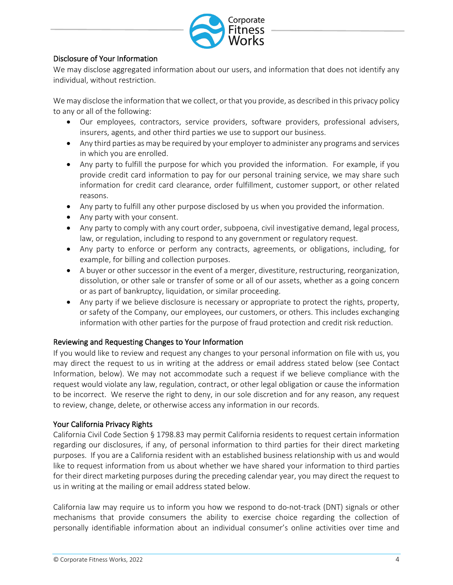

## Disclosure of Your Information

We may disclose aggregated information about our users, and information that does not identify any individual, without restriction.

We may disclose the information that we collect, or that you provide, as described in this privacy policy to any or all of the following:

- Our employees, contractors, service providers, software providers, professional advisers, insurers, agents, and other third parties we use to support our business.
- Any third parties as may be required by your employer to administer any programs and services in which you are enrolled.
- Any party to fulfill the purpose for which you provided the information. For example, if you provide credit card information to pay for our personal training service, we may share such information for credit card clearance, order fulfillment, customer support, or other related reasons.
- Any party to fulfill any other purpose disclosed by us when you provided the information.
- Any party with your consent.
- Any party to comply with any court order, subpoena, civil investigative demand, legal process, law, or regulation, including to respond to any government or regulatory request.
- Any party to enforce or perform any contracts, agreements, or obligations, including, for example, for billing and collection purposes.
- A buyer or other successor in the event of a merger, divestiture, restructuring, reorganization, dissolution, or other sale or transfer of some or all of our assets, whether as a going concern or as part of bankruptcy, liquidation, or similar proceeding.
- Any party if we believe disclosure is necessary or appropriate to protect the rights, property, or safety of the Company, our employees, our customers, or others. This includes exchanging information with other parties for the purpose of fraud protection and credit risk reduction.

#### Reviewing and Requesting Changes to Your Information

If you would like to review and request any changes to your personal information on file with us, you may direct the request to us in writing at the address or email address stated below (see Contact Information, below). We may not accommodate such a request if we believe compliance with the request would violate any law, regulation, contract, or other legal obligation or cause the information to be incorrect. We reserve the right to deny, in our sole discretion and for any reason, any request to review, change, delete, or otherwise access any information in our records.

#### Your California Privacy Rights

California Civil Code Section § 1798.83 may permit California residents to request certain information regarding our disclosures, if any, of personal information to third parties for their direct marketing purposes. If you are a California resident with an established business relationship with us and would like to request information from us about whether we have shared your information to third parties for their direct marketing purposes during the preceding calendar year, you may direct the request to us in writing at the mailing or email address stated below.

California law may require us to inform you how we respond to do-not-track (DNT) signals or other mechanisms that provide consumers the ability to exercise choice regarding the collection of personally identifiable information about an individual consumer's online activities over time and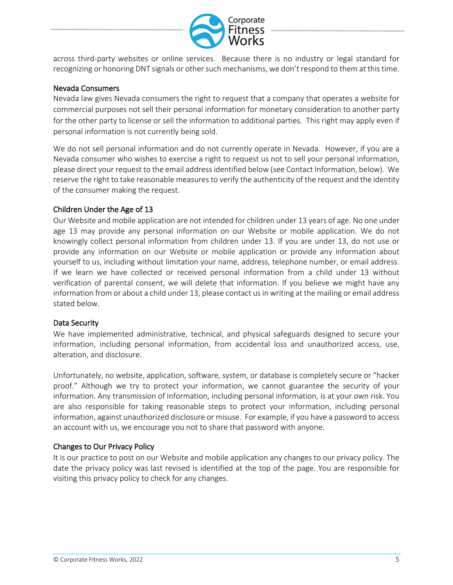

across third-party websites or online services. Because there is no industry or legal standard for recognizing or honoring DNT signals or other such mechanisms, we don't respond to them at this time.

#### Nevada Consumers

Nevada law gives Nevada consumers the right to request that a company that operates a website for commercial purposes not sell their personal information for monetary consideration to another party for the other party to license or sell the information to additional parties. This right may apply even if personal information is not currently being sold. 

We do not sell personal information and do not currently operate in Nevada. However, if you are a Nevada consumer who wishes to exercise a right to request us not to sell your personal information, please direct your request to the email address identified below (see Contact Information, below). We reserve the right to take reasonable measures to verify the authenticity of the request and the identity of the consumer making the request.

#### Children Under the Age of 13

Our Website and mobile application are not intended for children under 13 years of age. No one under age 13 may provide any personal information on our Website or mobile application. We do not knowingly collect personal information from children under 13. If you are under 13, do not use or provide any information on our Website or mobile application or provide any information about yourself to us, including without limitation your name, address, telephone number, or email address. If we learn we have collected or received personal information from a child under 13 without verification of parental consent, we will delete that information. If you believe we might have any information from or about a child under 13, please contact us in writing at the mailing or email address stated below.

#### Data Security

We have implemented administrative, technical, and physical safeguards designed to secure your information, including personal information, from accidental loss and unauthorized access, use, alteration, and disclosure.

Unfortunately, no website, application, software, system, or database is completely secure or "hacker proof." Although we try to protect your information, we cannot guarantee the security of your information. Any transmission of information, including personal information, is at your own risk. You are also responsible for taking reasonable steps to protect your information, including personal information, against unauthorized disclosure or misuse. For example, if you have a password to access an account with us, we encourage you not to share that password with anyone.

#### Changes to Our Privacy Policy

It is our practice to post on our Website and mobile application any changes to our privacy policy. The date the privacy policy was last revised is identified at the top of the page. You are responsible for visiting this privacy policy to check for any changes.